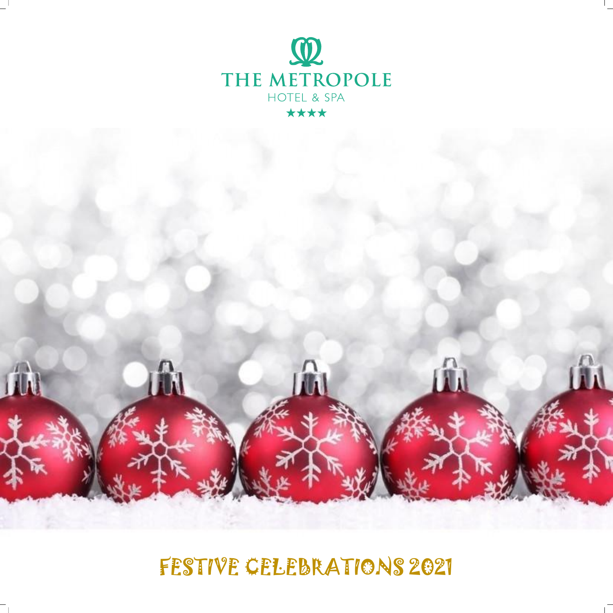

FESTIVE CELEBRATIONS 2021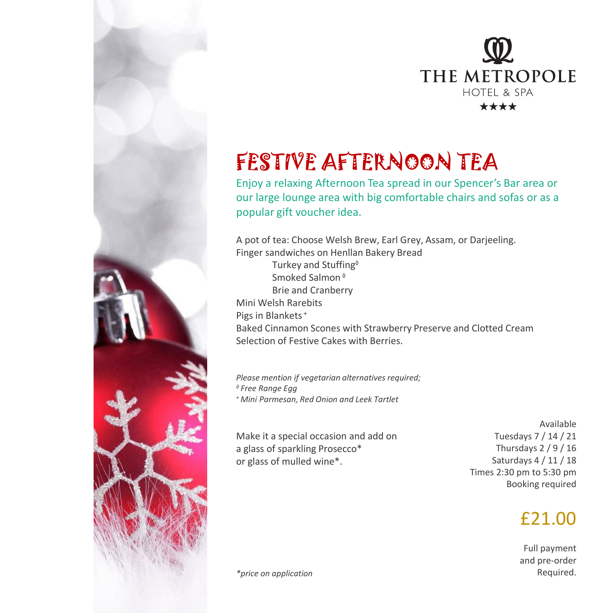

# FESTIVE AFTERNOON TEA

Enjoy a relaxing Afternoon Tea spread in our Spencer's Bar area or our large lounge area with big comfortable chairs and sofas or as a popular gift voucher idea.

A pot of tea: Choose Welsh Brew, Earl Grey, Assam, or Darjeeling. Finger sandwiches on Henllan Bakery Bread Turkey and Stuffing◊ Smoked Salmon ◊ Brie and Cranberry Mini Welsh Rarebits Pigs in Blankets<sup>+</sup> Baked Cinnamon Scones with Strawberry Preserve and Clotted Cream Selection of Festive Cakes with Berries.

*Please mention if vegetarian alternatives required; ◊ Free Range Egg <sup>+</sup>Mini Parmesan, Red Onion and Leek Tartlet*

Make it a special occasion and add on a glass of sparkling Prosecco\* or glass of mulled wine\*.

Available Tuesdays 7 / 14 / 21 Thursdays 2 / 9 / 16 Saturdays 4 / 11 / 18 Times 2:30 pm to 5:30 pm Booking required

### £21.00

Full payment and pre-order

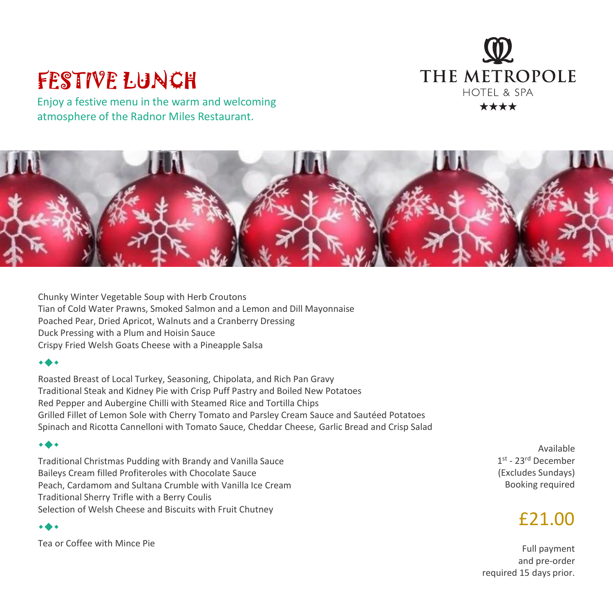

## FESTIVE LUNCH

Enjoy a festive menu in the warm and welcoming atmosphere of the Radnor Miles Restaurant.



Chunky Winter Vegetable Soup with Herb Croutons Tian of Cold Water Prawns, Smoked Salmon and a Lemon and Dill Mayonnaise Poached Pear, Dried Apricot, Walnuts and a Cranberry Dressing Duck Pressing with a Plum and Hoisin Sauce Crispy Fried Welsh Goats Cheese with a Pineapple Salsa

#### ◆

Roasted Breast of Local Turkey, Seasoning, Chipolata, and Rich Pan Gravy Traditional Steak and Kidney Pie with Crisp Puff Pastry and Boiled New Potatoes Red Pepper and Aubergine Chilli with Steamed Rice and Tortilla Chips Grilled Fillet of Lemon Sole with Cherry Tomato and Parsley Cream Sauce and Sautéed Potatoes Spinach and Ricotta Cannelloni with Tomato Sauce, Cheddar Cheese, Garlic Bread and Crisp Salad

### ◆

Traditional Christmas Pudding with Brandy and Vanilla Sauce Baileys Cream filled Profiteroles with Chocolate Sauce Peach, Cardamom and Sultana Crumble with Vanilla Ice Cream Traditional Sherry Trifle with a Berry Coulis Selection of Welsh Cheese and Biscuits with Fruit Chutney

### ◆

Tea or Coffee with Mince Pie

Available 1st - 23rd December (Excludes Sundays) Booking required

### £21.00

Full payment and pre-order required 15 days prior.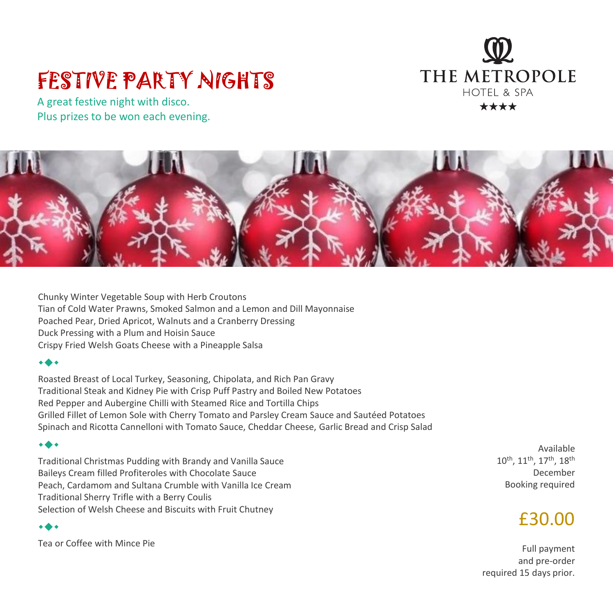# FESTIVE PARTY NIGHTS

A great festive night with disco. Plus prizes to be won each evening.





Chunky Winter Vegetable Soup with Herb Croutons Tian of Cold Water Prawns, Smoked Salmon and a Lemon and Dill Mayonnaise Poached Pear, Dried Apricot, Walnuts and a Cranberry Dressing Duck Pressing with a Plum and Hoisin Sauce Crispy Fried Welsh Goats Cheese with a Pineapple Salsa

#### ◆

Roasted Breast of Local Turkey, Seasoning, Chipolata, and Rich Pan Gravy Traditional Steak and Kidney Pie with Crisp Puff Pastry and Boiled New Potatoes Red Pepper and Aubergine Chilli with Steamed Rice and Tortilla Chips Grilled Fillet of Lemon Sole with Cherry Tomato and Parsley Cream Sauce and Sautéed Potatoes Spinach and Ricotta Cannelloni with Tomato Sauce, Cheddar Cheese, Garlic Bread and Crisp Salad

#### ◆

Traditional Christmas Pudding with Brandy and Vanilla Sauce Baileys Cream filled Profiteroles with Chocolate Sauce Peach, Cardamom and Sultana Crumble with Vanilla Ice Cream Traditional Sherry Trifle with a Berry Coulis Selection of Welsh Cheese and Biscuits with Fruit Chutney

#### ◆

Tea or Coffee with Mince Pie

Available 10th, 11th, 17th, 18th December Booking required

### £30.00

Full payment and pre-order required 15 days prior.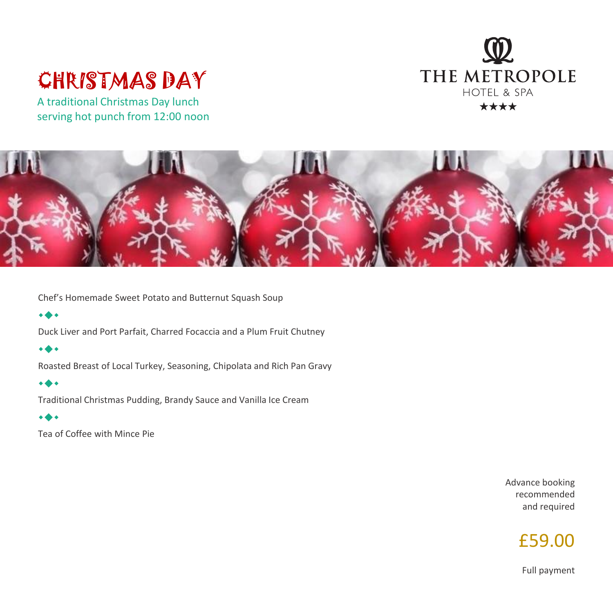### THE METROPOLE HOTEL & SPA \*\*\*\*

## CHRISTMAS DAY

A traditional Christmas Day lunch serving hot punch from 12:00 noon



Chef's Homemade Sweet Potato and Butternut Squash Soup

### ◆

Duck Liver and Port Parfait, Charred Focaccia and a Plum Fruit Chutney

#### ◆

Roasted Breast of Local Turkey, Seasoning, Chipolata and Rich Pan Gravy

### ◆

Traditional Christmas Pudding, Brandy Sauce and Vanilla Ice Cream

### ◆

Tea of Coffee with Mince Pie

Advance booking recommended and required



Full payment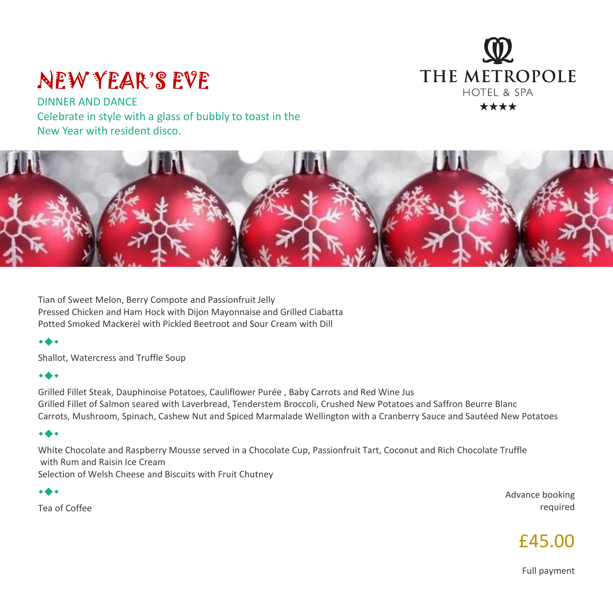### THE METROPOLE HOTFL & SPA \*\*\*\*

## NEW YEAR'S EVE

DINNER AND DANCE Celebrate in style with a glass of bubbly to toast in the New Year with resident disco.



Tian of Sweet Melon, Berry Compote and Passionfruit Jelly Pressed Chicken and Ham Hock with Dijon Mayonnaise and Grilled Ciabatta Potted Smoked Mackerel with Pickled Beetroot and Sour Cream with Dill

### ◆

Shallot, Watercress and Truffle Soup

### ◆

Grilled Fillet Steak, Dauphinoise Potatoes, Cauliflower Purée , Baby Carrots and Red Wine Jus Grilled Fillet of Salmon seared with Laverbread, Tenderstem Broccoli, Crushed New Potatoes and Saffron Beurre Blanc Carrots, Mushroom, Spinach, Cashew Nut and Spiced Marmalade Wellington with a Cranberry Sauce and Sautéed New Potatoes

### ◆

White Chocolate and Raspberry Mousse served in a Chocolate Cup, Passionfruit Tart, Coconut and Rich Chocolate Truffle with Rum and Raisin Ice Cream Selection of Welsh Cheese and Biscuits with Fruit Chutney

◆

Tea of Coffee

Advance booking required



Full payment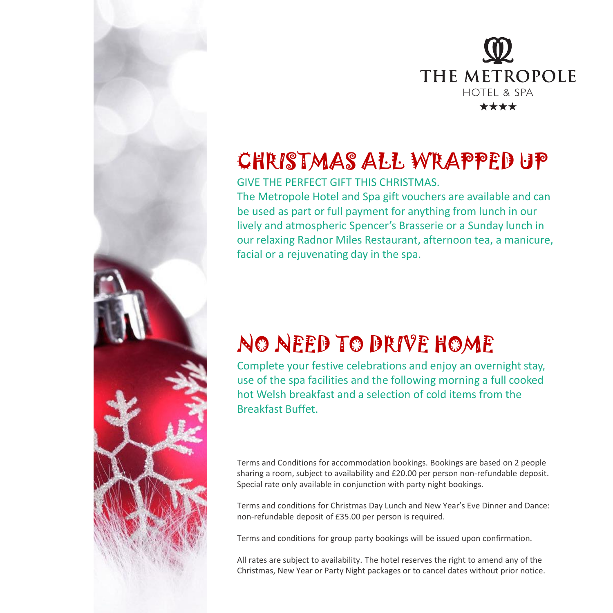

# CHRISTMAS ALL WRAPPED UP

GIVE THE PERFECT GIFT THIS CHRISTMAS.

The Metropole Hotel and Spa gift vouchers are available and can be used as part or full payment for anything from lunch in our lively and atmospheric Spencer's Brasserie or a Sunday lunch in our relaxing Radnor Miles Restaurant, afternoon tea, a manicure, facial or a rejuvenating day in the spa.

# NO NEED TO DRIVE HOME

Complete your festive celebrations and enjoy an overnight stay, use of the spa facilities and the following morning a full cooked hot Welsh breakfast and a selection of cold items from the Breakfast Buffet.

Terms and Conditions for accommodation bookings. Bookings are based on 2 people sharing a room, subject to availability and £20.00 per person non-refundable deposit. Special rate only available in conjunction with party night bookings.

Terms and conditions for Christmas Day Lunch and New Year's Eve Dinner and Dance: non-refundable deposit of £35.00 per person is required.

Terms and conditions for group party bookings will be issued upon confirmation.

All rates are subject to availability. The hotel reserves the right to amend any of the Christmas, New Year or Party Night packages or to cancel dates without prior notice.